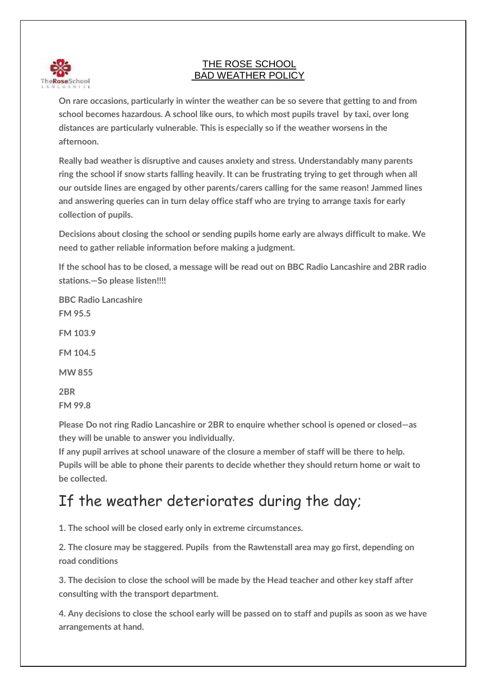

## THE ROSE SCHOOL BAD WEATHER POLICY

**On rare occasions, particularly in winter the weather can be so severe that getting to and from school becomes hazardous. A school like ours, to which most pupils travel by taxi, over long distances are particularly vulnerable. This is especially so if the weather worsens in the afternoon.**

**Really bad weather is disruptive and causes anxiety and stress. Understandably many parents ring the school if snow starts falling heavily. It can be frustrating trying to get through when all our outside lines are engaged by other parents/carers calling for the same reason! Jammed lines and answering queries can in turn delay office staff who are trying to arrange taxis for early collection of pupils.**

**Decisions about closing the school or sending pupils home early are always difficult to make. We need to gather reliable information before making a judgment.**

**If the school has to be closed, a message will be read out on BBC Radio Lancashire and 2BR radio stations.—So please listen!!!!**

**BBC Radio Lancashire FM 95.5 FM 103.9 FM 104.5 MW 855 2BR FM 99.8**

**Please Do not ring Radio Lancashire or 2BR to enquire whether school is opened or closed—as they will be unable to answer you individually.**

**If any pupil arrives at school unaware of the closure a member of staff will be there to help. Pupils will be able to phone their parents to decide whether they should return home or wait to be collected.**

## If the weather deteriorates during the day;

**1. The school will be closed early only in extreme circumstances.**

**2. The closure may be staggered. Pupils from the Rawtenstall area may go first, depending on road conditions**

**3. The decision to close the school will be made by the Head teacher and other key staff after consulting with the transport department.**

**4. Any decisions to close the school early will be passed on to staff and pupils as soon as we have arrangements at hand.**